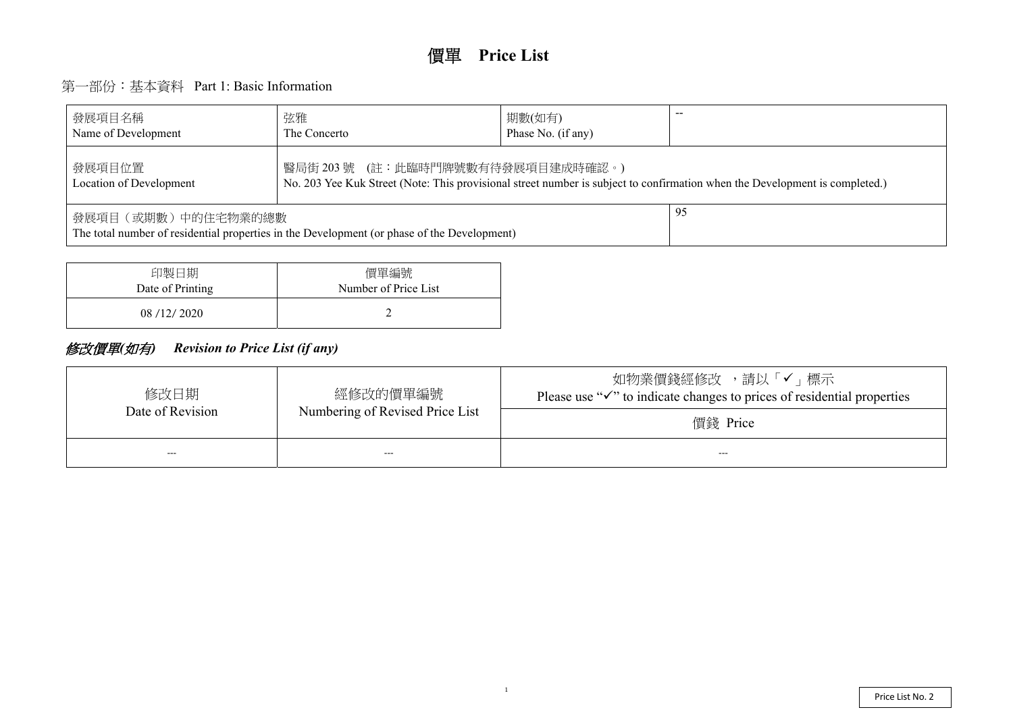# 第一部份:基本資料 Part 1: Basic Information

| 發展項目名稱<br>Name of Development                                                                                                                                                 | 弦雅<br>The Concerto | 期數(如有)<br>Phase No. (if any) |  |  |  |  |  |  |  |  |
|-------------------------------------------------------------------------------------------------------------------------------------------------------------------------------|--------------------|------------------------------|--|--|--|--|--|--|--|--|
| 醫局街 203 號 (註:此臨時門牌號數有待發展項目建成時確認。)<br>發展項目位置<br>No. 203 Yee Kuk Street (Note: This provisional street number is subject to confirmation when the De<br>Location of Development |                    |                              |  |  |  |  |  |  |  |  |
| 發展項目(或期數)中的住宅物業的總數<br>The total number of residential properties in the Development (or phase of the Development)                                                             |                    |                              |  |  |  |  |  |  |  |  |

| 印製日期             | 價單編號                 |
|------------------|----------------------|
| Date of Printing | Number of Price List |
| 08/12/2020       |                      |

## 修改價單*(*如有*) Revision to Price List (if any)*

| 修改日期<br>Date of Revision | 經修改的價單編號<br>Numbering of Revised Price List | 如物業價錢經修改 ,請以<br>Please use " $\checkmark$ " to indicate changes to pric |
|--------------------------|---------------------------------------------|-------------------------------------------------------------------------|
|                          |                                             | 價錢 Price                                                                |
| $---$                    | $---$                                       | $---$                                                                   |

evelopment is completed.)

メ「✔」標示 ees of residential properties

1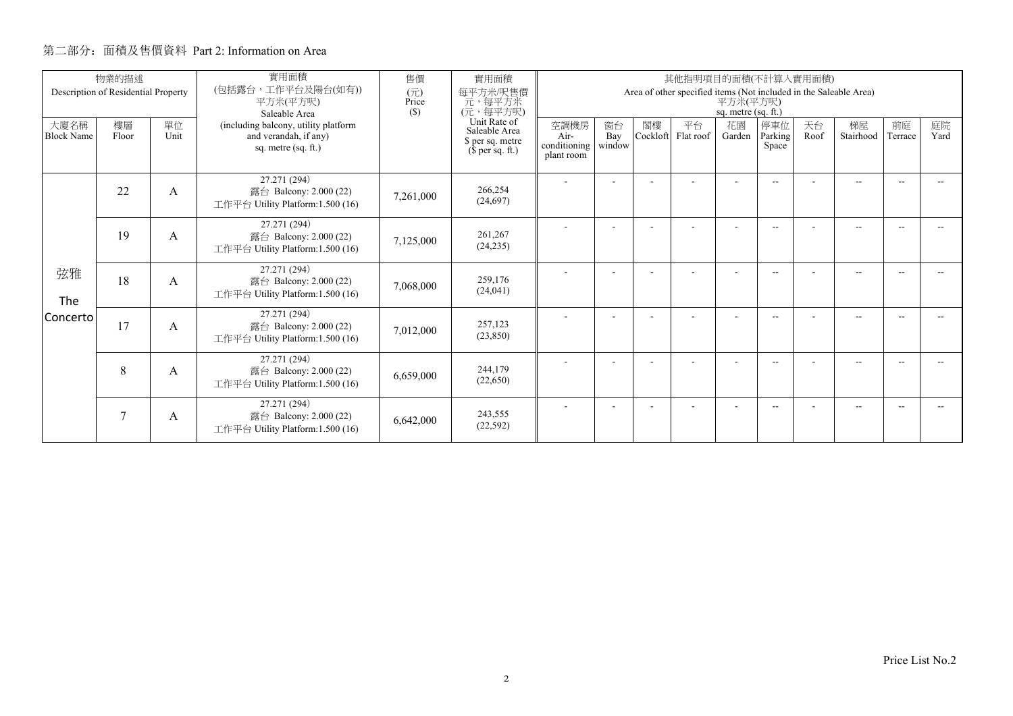|                           | 物業的描述<br>Description of Residential Property |            | 實用面積<br>(包括露台,工作平台及陽台(如有))                                                           | 售價                  | 實用面積                                                                                                    |                                                                                                      |                     |                | 其他指明項目的面積(不計算入實用面積) |              |                          |            |                 |               |            |
|---------------------------|----------------------------------------------|------------|--------------------------------------------------------------------------------------|---------------------|---------------------------------------------------------------------------------------------------------|------------------------------------------------------------------------------------------------------|---------------------|----------------|---------------------|--------------|--------------------------|------------|-----------------|---------------|------------|
|                           |                                              |            | 平方米(平方呎)<br>Saleable Area                                                            | (元)<br>Price<br>(S) | 每平方米/呎售價<br>元,每平方米<br>(元,每平方呎)<br>Unit Rate of<br>Saleable Area<br>\$ per sq. metre<br>$$$ per sq. ft.) | Area of other specified items (Not included in the Saleable Area)<br>平方米(平方呎)<br>sq. metre (sq. ft.) |                     |                |                     |              |                          |            |                 |               |            |
| 大廈名稱<br><b>Block Name</b> | 樓層<br>Floor                                  | 單位<br>Unit | (including balcony, utility platform<br>and verandah, if any)<br>sq. metre (sq. ft.) |                     |                                                                                                         | 空調機房<br>Air-<br>conditioning<br>plant room                                                           | 窗台<br>Bay<br>window | 閣樓<br>Cockloft | 平台<br>Flat roof     | 花園<br>Garden | 停車位<br>Parking<br>Space  | 天台<br>Roof | 梯屋<br>Stairhood | 前庭<br>Terrace | 庭院<br>Yard |
|                           | 22                                           | A          | 27.271 (294)<br>露台 Balcony: 2.000 (22)<br>工作平台 Utility Platform: 1.500 (16)          | 7,261,000           | 266,254<br>(24,697)                                                                                     |                                                                                                      |                     |                |                     |              | $-1$                     |            | $-$             |               |            |
|                           | 19                                           | A          | 27.271 (294)<br>露台 Balcony: 2.000 (22)<br>工作平台 Utility Platform: 1.500 (16)          | 7,125,000           | 261,267<br>(24, 235)                                                                                    |                                                                                                      |                     |                |                     |              | $\overline{\phantom{a}}$ |            | $-$             |               |            |
| 弦雅<br>The                 | 18                                           | A          | 27.271 (294)<br>露台 Balcony: 2.000 (22)<br>工作平台 Utility Platform:1.500 (16)           | 7,068,000           | 259,176<br>(24, 041)                                                                                    |                                                                                                      |                     |                |                     |              | $\overline{\phantom{a}}$ |            | $-$             | -44           |            |
| Concerto                  | 17                                           | A          | 27.271 (294)<br>露台 Balcony: 2.000 (22)<br>工作平台 Utility Platform:1.500 (16)           | 7,012,000           | 257,123<br>(23,850)                                                                                     |                                                                                                      |                     |                |                     |              | $\overline{\phantom{a}}$ |            | $-$             |               |            |
|                           | 8                                            | A          | 27.271 (294)<br>露台 Balcony: 2.000 (22)<br>工作平台 Utility Platform:1.500 (16)           | 6,659,000           | 244,179<br>(22,650)                                                                                     |                                                                                                      |                     |                |                     |              | $- -$                    |            | $- -$           |               |            |
|                           | 7                                            | A          | 27.271 (294)<br>露台 Balcony: 2.000 (22)<br>工作平台 Utility Platform:1.500 (16)           | 6,642,000           | 243,555<br>(22, 592)                                                                                    |                                                                                                      |                     |                |                     |              | $-$                      |            | $-$             |               |            |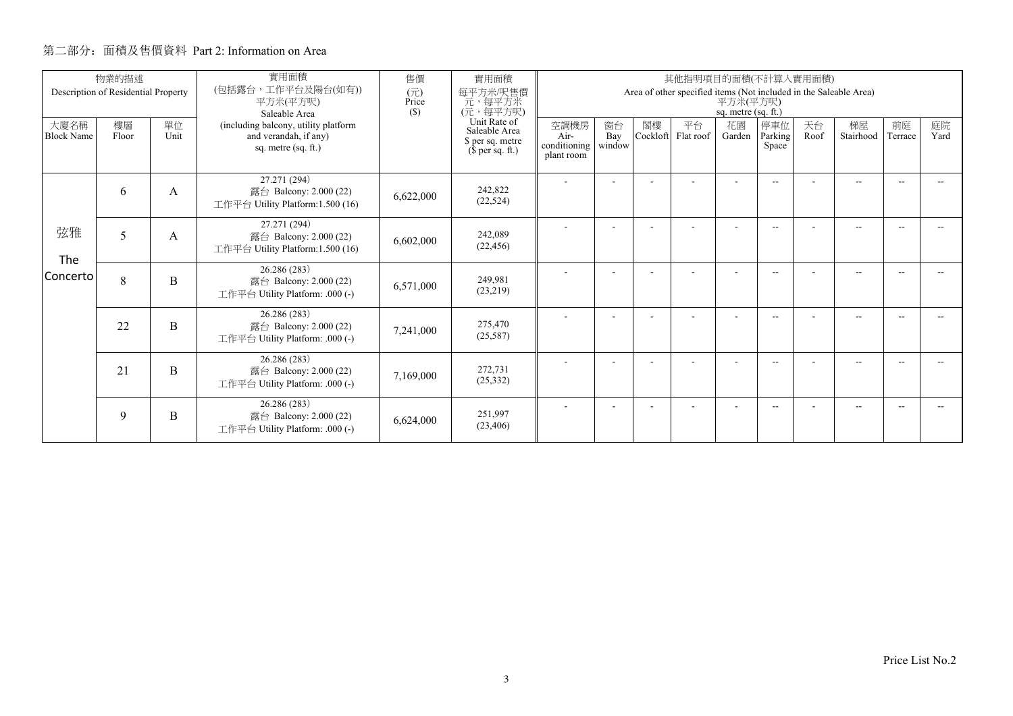|                           | 物業的描述                               |            | 實用面積                                                                                 | 售價                     | 實用面積                                                                  |                                                                                                      |                          |                | 其他指明項目的面積(不計算入實用面積) |                          |                          |            |                 |               |            |
|---------------------------|-------------------------------------|------------|--------------------------------------------------------------------------------------|------------------------|-----------------------------------------------------------------------|------------------------------------------------------------------------------------------------------|--------------------------|----------------|---------------------|--------------------------|--------------------------|------------|-----------------|---------------|------------|
|                           | Description of Residential Property |            | (包括露台,工作平台及陽台(如有))<br>平方米(平方呎)<br>Saleable Area                                      | (元)<br>Price<br>$(\$)$ | 每平方米/呎售價<br>一元, 每平方米<br>(元, 每平方呎)                                     | Area of other specified items (Not included in the Saleable Area)<br>平方米(平方呎)<br>sq. metre (sq. ft.) |                          |                |                     |                          |                          |            |                 |               |            |
| 大廈名稱<br><b>Block Name</b> | 樓層<br>Floor                         | 單位<br>Unit | (including balcony, utility platform<br>and verandah, if any)<br>sq. metre (sq. ft.) |                        | Unit Rate of<br>Saleable Area<br>\$ per sq. metre<br>$$$ per sq. ft.) | 空調機房<br>Air-<br>conditioning  <br>plant room                                                         | 窗台<br>Bay<br>window      | 閣樓<br>Cockloft | 平台<br>Flat roof     | 花園<br>Garden             | 停車位<br>Parking<br>Space  | 天台<br>Roof | 梯屋<br>Stairhood | 前庭<br>Terrace | 庭院<br>Yard |
| 弦雅<br>The                 | 6                                   | A          | 27.271 (294)<br>露台 Balcony: 2.000 (22)<br>工作平台 Utility Platform:1.500 (16)           | 6,622,000              | 242,822<br>(22, 524)                                                  |                                                                                                      | $\overline{\phantom{a}}$ |                | ٠                   | $\overline{\phantom{a}}$ | $\overline{\phantom{a}}$ |            | $- -$           | $\sim$        |            |
|                           | 5                                   | А          | 27.271 (294)<br>露台 Balcony: 2.000 (22)<br>工作平台 Utility Platform:1.500 (16)           | 6,602,000              | 242,089<br>(22, 456)                                                  |                                                                                                      |                          |                |                     |                          | $- -$                    |            | $-$             |               |            |
| <b>Concerto</b>           | 8                                   | B          | 26.286 (283)<br>露台 Balcony: 2.000 (22)<br>工作平台 Utility Platform: .000 (-)            | 6,571,000              | 249.981<br>(23,219)                                                   |                                                                                                      |                          |                |                     | ٠                        | $\overline{\phantom{a}}$ |            | $-$             | --            |            |
|                           | 22                                  | B          | 26.286 (283)<br>露台 Balcony: 2.000 (22)<br>工作平台 Utility Platform: .000 (-)            | 7,241,000              | 275,470<br>(25,587)                                                   |                                                                                                      |                          |                |                     |                          | $\overline{\phantom{a}}$ |            | $-$             |               |            |
|                           | 21                                  | B          | 26.286 (283)<br>露台 Balcony: 2.000 (22)<br>工作平台 Utility Platform: .000 (-)            | 7,169,000              | 272,731<br>(25, 332)                                                  |                                                                                                      |                          |                |                     | ٠                        | $\overline{\phantom{a}}$ |            | $-$             |               |            |
|                           | 9                                   | B          | 26.286 (283)<br>露台 Balcony: 2.000 (22)<br>工作平台 Utility Platform: .000 (-)            | 6,624,000              | 251.997<br>(23, 406)                                                  |                                                                                                      |                          |                |                     | ٠                        | $- -$                    |            | $- -$           |               |            |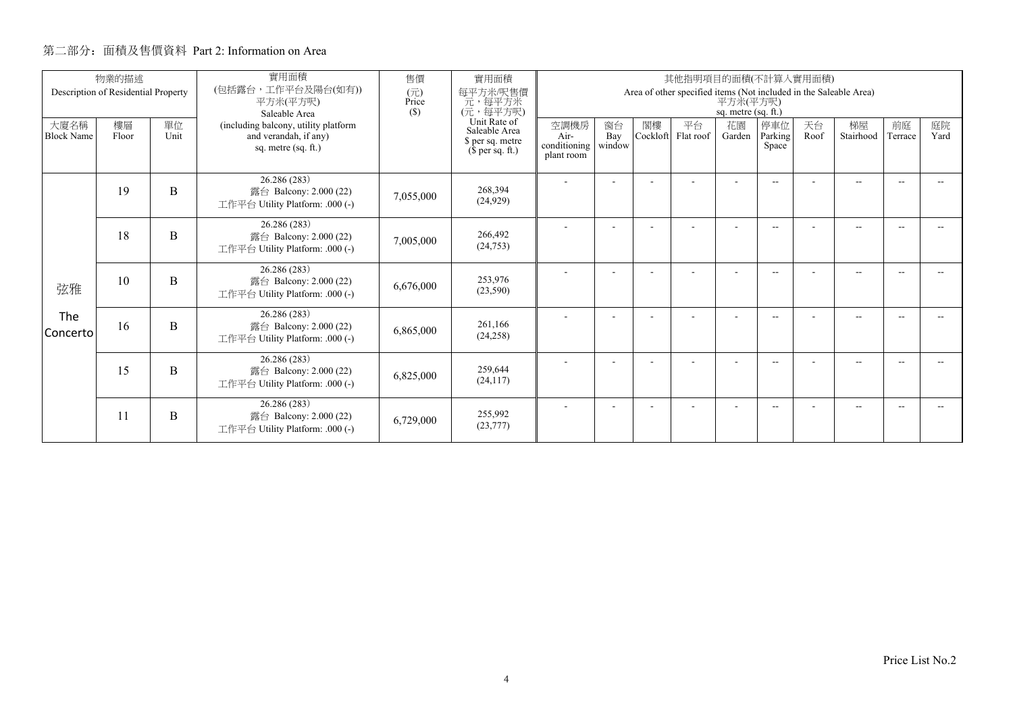|                           | 物業的描述<br>Description of Residential Property |            | 實用面積<br>(包括露台,工作平台及陽台(如有))                                                           | 售價<br>(元)    | 實用面積<br>每平方米/呎售價                                                      | 其他指明項目的面積(不計算入實用面積)<br>Area of other specified items (Not included in the Saleable Area) |                     |                |                 |                          |                          |            |                 |               |            |  |
|---------------------------|----------------------------------------------|------------|--------------------------------------------------------------------------------------|--------------|-----------------------------------------------------------------------|------------------------------------------------------------------------------------------|---------------------|----------------|-----------------|--------------------------|--------------------------|------------|-----------------|---------------|------------|--|
|                           |                                              |            | 平方米(平方呎)<br>Saleable Area                                                            | Price<br>(S) | 元, 每平方米<br>(元, 每平方呎)                                                  | 平方米(平方呎)<br>sq. metre (sq. ft.)                                                          |                     |                |                 |                          |                          |            |                 |               |            |  |
| 大廈名稱<br><b>Block Name</b> | 樓層<br>Floor                                  | 單位<br>Unit | (including balcony, utility platform<br>and verandah, if any)<br>sq. metre (sq. ft.) |              | Unit Rate of<br>Saleable Area<br>\$ per sq. metre<br>$$$ per sq. ft.) | 空調機房<br>Air-<br>conditioning<br>plant room                                               | 窗台<br>Bay<br>window | 閣樓<br>Cockloft | 平台<br>Flat roof | 花園<br>Garden             | 停車位<br>Parking<br>Space  | 天台<br>Roof | 梯屋<br>Stairhood | 前庭<br>Terrace | 庭院<br>Yard |  |
|                           | 19                                           | B          | 26.286 (283)<br>露台 Balcony: 2.000 (22)<br>工作平台 Utility Platform: .000 (-)            | 7,055,000    | 268,394<br>(24, 929)                                                  |                                                                                          |                     |                |                 |                          | $\frac{1}{2}$            |            | $- -$           |               |            |  |
|                           | 18                                           | B          | 26.286 (283)<br>露台 Balcony: 2.000 (22)<br>工作平台 Utility Platform: .000 (-)            | 7,005,000    | 266,492<br>(24, 753)                                                  |                                                                                          |                     |                |                 |                          | $\overline{\phantom{a}}$ |            | $-$             |               |            |  |
| 弦雅                        | 10                                           | B          | 26.286 (283)<br>露台 Balcony: 2.000 (22)<br>工作平台 Utility Platform: .000 (-)            | 6,676,000    | 253,976<br>(23,590)                                                   |                                                                                          |                     |                |                 | $\overline{\phantom{a}}$ | $\frac{1}{2}$            |            | $-$             | -44           |            |  |
| The<br>Concerto           | 16                                           | B          | 26.286 (283)<br>露台 Balcony: 2.000 (22)<br>工作平台 Utility Platform: .000 (-)            | 6,865,000    | 261.166<br>(24, 258)                                                  |                                                                                          |                     |                |                 |                          | $\overline{\phantom{a}}$ |            | $- -$           |               |            |  |
|                           | 15                                           | B          | 26.286 (283)<br>露台 Balcony: 2.000 (22)<br>工作平台 Utility Platform: .000 (-)            | 6,825,000    | 259,644<br>(24, 117)                                                  |                                                                                          | ٠                   |                |                 | $\overline{\phantom{a}}$ | $\overline{\phantom{a}}$ |            | $-$             | $\sim$        |            |  |
|                           | 11                                           | B          | 26.286 (283)<br>露台 Balcony: 2.000 (22)<br>工作平台 Utility Platform: .000 (-)            | 6,729,000    | 255,992<br>(23, 777)                                                  |                                                                                          |                     |                |                 |                          | --                       |            | --              |               |            |  |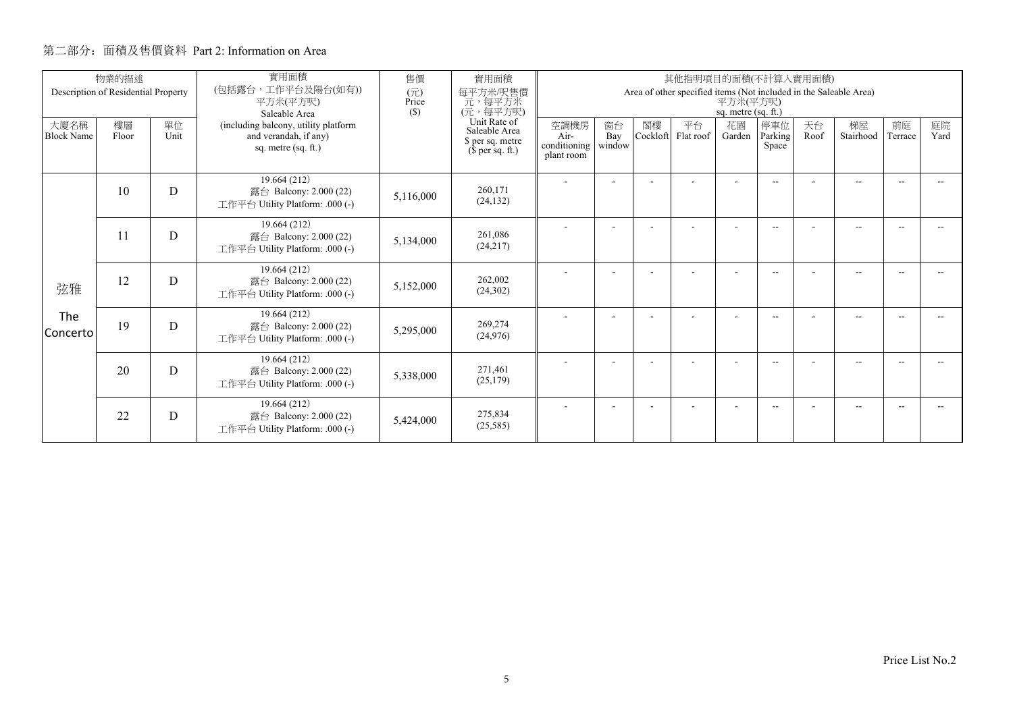|                           | 物業的描述<br>Description of Residential Property |            | 實用面積<br>(包括露台,工作平台及陽台(如有))                                                           |              | 實用面積<br>每平方米/呎售價                                                      |                                            |                     |                | 其他指明項目的面積(不計算入實用面積)<br>Area of other specified items (Not included in the Saleable Area) |                          |                          |            |                 |               |            |
|---------------------------|----------------------------------------------|------------|--------------------------------------------------------------------------------------|--------------|-----------------------------------------------------------------------|--------------------------------------------|---------------------|----------------|------------------------------------------------------------------------------------------|--------------------------|--------------------------|------------|-----------------|---------------|------------|
|                           |                                              |            | 平方米(平方呎)<br>Saleable Area                                                            | Price<br>(S) | 元, 每平方米<br>(元, 每平方呎)                                                  | 平方米(平方呎)<br>sq. metre (sq. ft.)            |                     |                |                                                                                          |                          |                          |            |                 |               |            |
| 大廈名稱<br><b>Block Name</b> | 樓層<br>Floor                                  | 單位<br>Unit | (including balcony, utility platform<br>and verandah, if any)<br>sq. metre (sq. ft.) |              | Unit Rate of<br>Saleable Area<br>\$ per sq. metre<br>$$$ per sq. ft.) | 空調機房<br>Air-<br>conditioning<br>plant room | 窗台<br>Bay<br>window | 閣樓<br>Cockloft | 平台<br>Flat roof                                                                          | 花園<br>Garden             | 停車位<br>Parking<br>Space  | 天台<br>Roof | 梯屋<br>Stairhood | 前庭<br>Terrace | 庭院<br>Yard |
|                           | 10                                           | D          | 19.664 (212)<br>露台 Balcony: $2.000(22)$<br>工作平台 Utility Platform: .000 (-)           | 5,116,000    | 260,171<br>(24, 132)                                                  |                                            |                     |                |                                                                                          |                          | $- -$                    |            | $- -$           | --            |            |
|                           | 11                                           | D          | 19.664 (212)<br>露台 Balcony: 2.000 (22)<br>工作平台 Utility Platform: .000 (-)            | 5,134,000    | 261,086<br>(24,217)                                                   |                                            |                     |                |                                                                                          |                          | $\overline{\phantom{a}}$ |            | $-$             |               |            |
| 弦雅                        | 12                                           | D          | 19.664 (212)<br>露台 Balcony: 2.000 (22)<br>工作平台 Utility Platform: .000 (-)            | 5,152,000    | 262,002<br>(24, 302)                                                  |                                            |                     |                |                                                                                          | $\overline{\phantom{a}}$ | $\overline{\phantom{a}}$ |            | $- -$           | --            |            |
| The<br>Concerto           | 19                                           | D          | 19.664 (212)<br>露台 Balcony: 2.000 (22)<br>工作平台 Utility Platform: .000 (-)            | 5,295,000    | 269,274<br>(24, 976)                                                  |                                            |                     |                |                                                                                          |                          | $- -$                    |            | $-$             |               |            |
|                           | 20                                           | D          | 19.664 (212)<br>露台 Balcony: 2.000 (22)<br>工作平台 Utility Platform: .000 (-)            | 5,338,000    | 271,461<br>(25, 179)                                                  |                                            |                     |                |                                                                                          | $\overline{\phantom{a}}$ | $\overline{\phantom{a}}$ |            | $-$             |               |            |
|                           | 22                                           | D          | 19.664 (212)<br>露台 Balcony: 2.000 (22)<br>工作平台 Utility Platform: .000 (-)            | 5,424,000    | 275,834<br>(25, 585)                                                  |                                            |                     |                |                                                                                          | $\overline{\phantom{a}}$ | $\overline{\phantom{a}}$ |            | $-$             |               |            |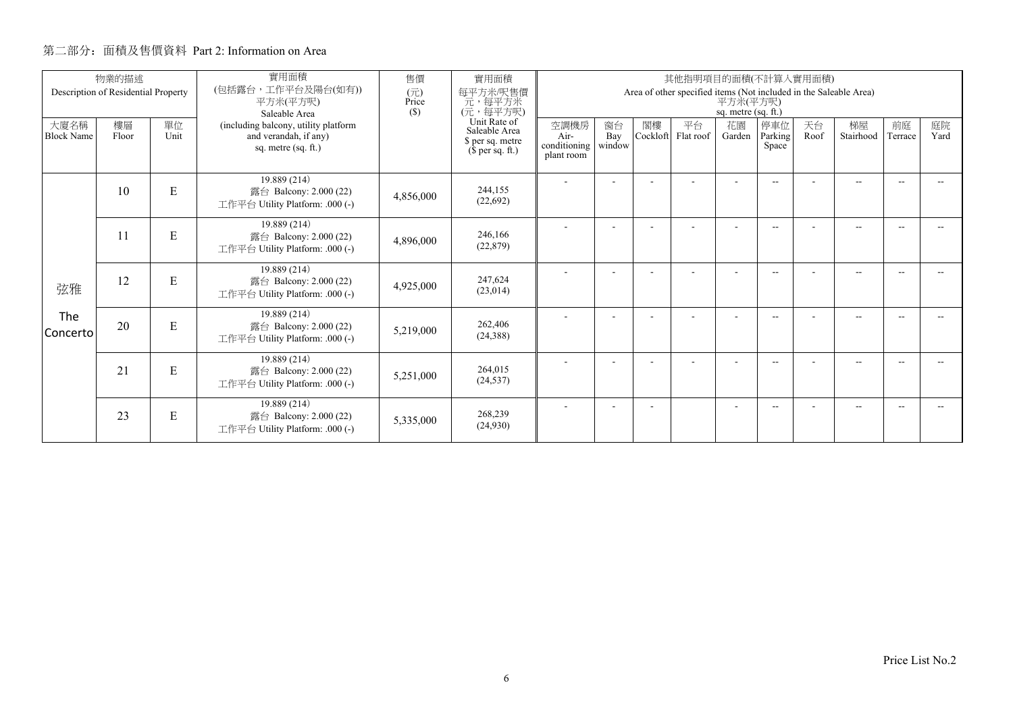|                           | 物業的描述<br>Description of Residential Property |            | 實用面積<br>(包括露台,工作平台及陽台(如有))                                                           | 售價<br>實用面積<br>每平方米/呎售價<br>(元) |                                                                                               |                                            |                     |                |                 |                          | 其他指明項目的面積(不計算入實用面積)<br>Area of other specified items (Not included in the Saleable Area) |            |                 |               |            |  |  |  |
|---------------------------|----------------------------------------------|------------|--------------------------------------------------------------------------------------|-------------------------------|-----------------------------------------------------------------------------------------------|--------------------------------------------|---------------------|----------------|-----------------|--------------------------|------------------------------------------------------------------------------------------|------------|-----------------|---------------|------------|--|--|--|
|                           |                                              |            | 平方米(平方呎)<br>Saleable Area                                                            | Price<br>(S)                  | 元, 每平方米<br>(元, 每平方呎)<br>Unit Rate of<br>Saleable Area<br>\$ per sq. metre<br>$$$ per sq. ft.) | 平方米(平方呎)<br>sq. metre (sq. ft.)            |                     |                |                 |                          |                                                                                          |            |                 |               |            |  |  |  |
| 大廈名稱<br><b>Block Name</b> | 樓層<br>Floor                                  | 單位<br>Unit | (including balcony, utility platform<br>and verandah, if any)<br>sq. metre (sq. ft.) |                               |                                                                                               | 空調機房<br>Air-<br>conditioning<br>plant room | 窗台<br>Bay<br>window | 閣樓<br>Cockloft | 平台<br>Flat roof | 花園<br>Garden             | 停車位<br>Parking<br>Space                                                                  | 天台<br>Roof | 梯屋<br>Stairhood | 前庭<br>Terrace | 庭院<br>Yard |  |  |  |
|                           | 10                                           | ${\bf E}$  | 19.889 (214)<br>露台 Balcony: 2.000 (22)<br>工作平台 Utility Platform: .000 (-)            | 4,856,000                     | 244,155<br>(22, 692)                                                                          |                                            |                     |                |                 |                          | $- -$                                                                                    |            | $- -$           | --            |            |  |  |  |
|                           | 11                                           | ${\bf E}$  | 19.889 (214)<br>露台 Balcony: 2.000 (22)<br>工作平台 Utility Platform: .000 (-)            | 4,896,000                     | 246,166<br>(22, 879)                                                                          |                                            |                     |                |                 |                          | $\overline{\phantom{a}}$                                                                 |            | $-$             |               |            |  |  |  |
| 弦雅                        | 12                                           | E          | 19.889 (214)<br>露台 Balcony: 2.000 (22)<br>工作平台 Utility Platform: .000 (-)            | 4,925,000                     | 247.624<br>(23,014)                                                                           |                                            |                     |                |                 | $\overline{\phantom{a}}$ | $\overline{\phantom{a}}$                                                                 |            | $- -$           | --            |            |  |  |  |
| The<br>Concerto           | 20                                           | ${\bf E}$  | 19.889 (214)<br>露台 Balcony: 2.000 (22)<br>工作平台 Utility Platform: .000 (-)            | 5,219,000                     | 262,406<br>(24, 388)                                                                          |                                            |                     |                |                 |                          | $- -$                                                                                    |            | $-$             |               |            |  |  |  |
|                           | 21                                           | E          | 19.889 (214)<br>露台 Balcony: 2.000 (22)<br>工作平台 Utility Platform: .000 (-)            | 5,251,000                     | 264,015<br>(24, 537)                                                                          |                                            |                     |                |                 | $\overline{\phantom{a}}$ | $\overline{\phantom{a}}$                                                                 |            | $-$             |               |            |  |  |  |
|                           | 23                                           | E          | 19.889 (214)<br>露台 Balcony: 2.000 (22)<br>工作平台 Utility Platform: .000 (-)            | 5,335,000                     | 268,239<br>(24,930)                                                                           |                                            |                     |                |                 |                          | $\overline{\phantom{a}}$                                                                 |            | $-$             |               |            |  |  |  |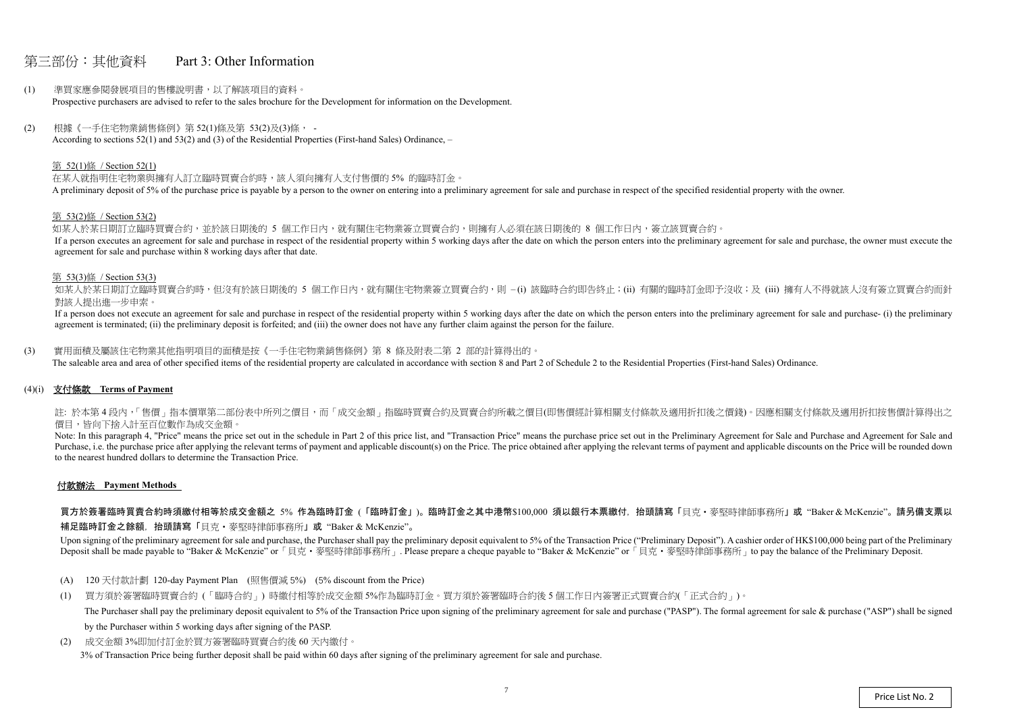## 第三部份:其他資料 Part 3: Other Information

- (1) 準買家應參閱發展項目的售樓說明書,以了解該項目的資料。 Prospective purchasers are advised to refer to the sales brochure for the Development for information on the Development.
- (2) 根據《一手住宅物業銷售條例》第 52(1)條及第 53(2)及(3)條, According to sections 52(1) and 53(2) and (3) of the Residential Properties (First-hand Sales) Ordinance, –

#### 第 52(1)條 / Section 52(1)

在某人就指明住宅物業與擁有人訂立臨時買賣合約時,該人須向擁有人支付售價的 5% 的臨時訂金。 A preliminary deposit of 5% of the purchase price is payable by a person to the owner on entering into a preliminary agreement for sale and purchase in respect of the specified residential property with the owner.

如某人於某日期訂立臨時買賣合約,並於該日期後的 5 個工作日內,就有關住宅物業簽立買賣合約,則擁有人必須在該日期後的 8 個工作日內,簽立該買賣合約。 If a person executes an agreement for sale and purchase in respect of the residential property within 5 working days after the date on which the person enters into the preliminary agreement for sale and purchase, the owner agreement for sale and purchase within 8 working days after that date.

如某人於某日期訂立臨時買賣合約時,但沒有於該日期後的 5 個工作日内,就有關住宅物業簽立買賣合約,則 –(i) 該臨時合約即告終止;(ii) 有關的臨時訂金即予沒收;及 (iii) 擁有人不得就該人沒有簽立買賣合約而針 對該人提出進一步申索。

#### 第 53(2)條 / Section 53(2)

If a person does not execute an agreement for sale and purchase in respect of the residential property within 5 working days after the date on which the person enters into the preliminary agreement for sale and purchase- ( agreement is terminated; (ii) the preliminary deposit is forfeited; and (iii) the owner does not have any further claim against the person for the failure.

註: 於本第4段内,「售價」指本價單第二部份表中所列之價目,而「成交金額」指臨時買賣合約及買賣合約所載之價目(即售價經計算相關支付條款及適用折扣後之價錢)。因應相關支付條款及適用折扣按售價計算得出之 價目,皆向下捨入計至百位數作為成交金額。

#### 第 53(3)條 / Section 53(3)

Note: In this paragraph 4, "Price" means the price set out in the schedule in Part 2 of this price list, and "Transaction Price" means the purchase price set out in the Preliminary Agreement for Sale and Purchase and Agree Purchase, i.e. the purchase price after applying the relevant terms of payment and applicable discount(s) on the Price. The price obtained after applying the relevant terms of payment and applicable discounts on the Price to the nearest hundred dollars to determine the Transaction Price.

買方於簽署臨時買賣合約時須繳付相等於成交金額之 5% 作為臨時訂金 (「臨時訂金」)。臨時訂金之其中港幣\$100,000 須以銀行本票繳付,抬頭請寫「貝克・麥堅時律師事務所」或"Baker & McKenzie"。請另備支票以 補足臨時訂金之餘額,抬頭請寫「貝克‧麥堅時律師事務所」或 "Baker & McKenzie"。

Upon signing of the preliminary agreement for sale and purchase, the Purchaser shall pay the preliminary deposit equivalent to 5% of the Transaction Price ("Preliminary Deposit"). A cashier order of HK\$100,000 being part o Deposit shall be made payable to "Baker & McKenzie" or 「貝克·麥堅時律師事務所」. Please prepare a cheque payable to "Baker & McKenzie" or 「貝克·麥堅時律師事務所」to pay the balance of the Preliminary Deposit.

(3) 實用面積及屬該住宅物業其他指明項目的面積是按《一手住宅物業銷售條例》第 8 條及附表二第 2 部的計算得出的。

The saleable area and area of other specified items of the residential property are calculated in accordance with section 8 and Part 2 of Schedule 2 to the Residential Properties (First-hand Sales) Ordinance.

#### (4)(i) 支付條款 **Terms of Payment**

#### 付款辦法 **Payment Methods**

- (A) 120 天付款計劃 120-day Payment Plan (照售價減 5%) (5% discount from the Price)
- (1) 買方須於簽署臨時買賣合約 (「臨時合約」) 時繳付相等於成交金額 5%作為臨時訂金。買方須於簽署臨時合約後 <sup>5</sup> 個工作日內簽署正式買賣合約(「正式合約」)。 The Purchaser shall pay the preliminary deposit equivalent to 5% of the Transaction Price upon signing of the preliminary agreement for sale and purchase ("PASP"). The formal agreement for sale & purchase ("ASP") shall be by the Purchaser within 5 working days after signing of the PASP.
- (2) 成交金額 3%即加付訂金於買方簽署臨時買賣合約後 60 天內繳付。 3% of Transaction Price being further deposit shall be paid within 60 days after signing of the preliminary agreement for sale and purchase.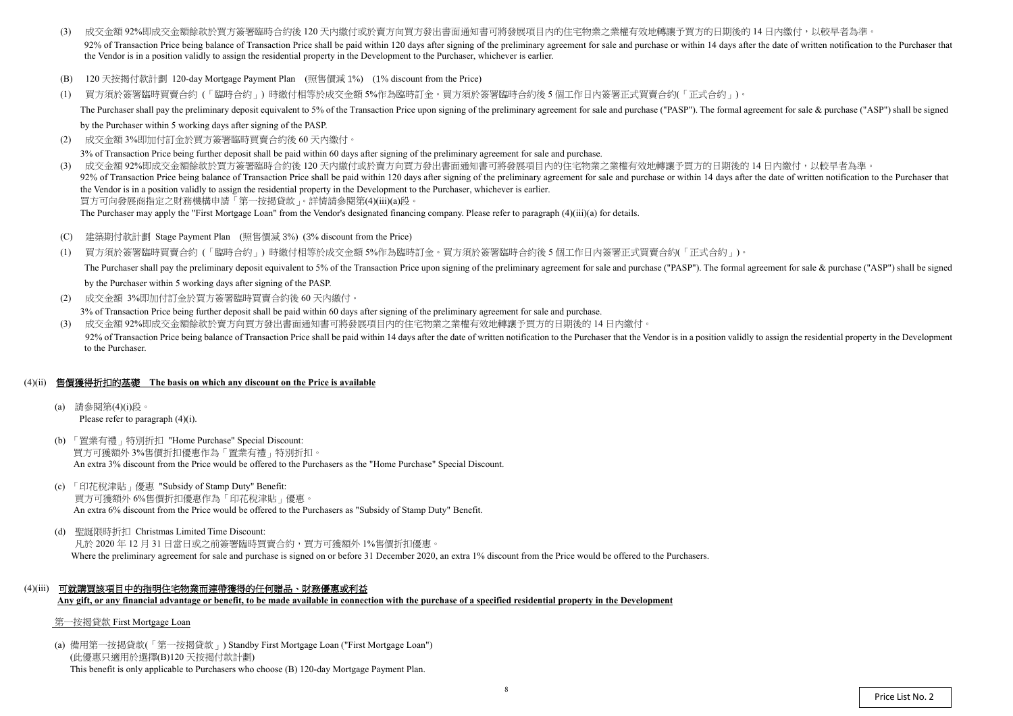$(2)$ 成交金額 3%即加付訂金於買方簽署臨時買賣合約後 <sup>60</sup> 天內繳付。

3% of Transaction Price being further deposit shall be paid within 60 days after signing of the preliminary agreement for sale and purchase.

- (3) 成交金額 92%即成交金額餘款於買方簽署臨時合約後 120 天內繳付或於賣方向買方發出書面通知書可將發展項目內的住宅物業之業權有效地轉讓予買方的日期後的 14 日內繳付,以較早者為準 92% of Transaction Price being balance of Transaction Price shall be paid within 120 days after signing of the preliminary agreement for sale and purchase or within 14 days after the date of written notification to the Pur the Vendor is in a position validly to assign the residential property in the Development to the Purchaser, whichever is earlier.
- (B) 120 天按揭付款計劃 120-day Mortgage Payment Plan (照售價減 1%) (1% discount from the Price)
- (1) 買方須於簽署臨時買賣合約 (「臨時合約」) 時繳付相等於成交金額 5%作為臨時訂金。買方須於簽署臨時合約後 <sup>5</sup> 個工作日內簽署正式買賣合約(「正式合約」)。 The Purchaser shall pay the preliminary deposit equivalent to 5% of the Transaction Price upon signing of the preliminary agreement for sale and purchase ("PASP"). The formal agreement for sale & purchase ("ASP") shall be

by the Purchaser within 5 working days after signing of the PASP.

- $(C)$ 建築期付款計劃 Stage Payment Plan (照售價減 <sup>3</sup>%) (3% discount from the Price)
- (1) 買方須於簽署臨時買賣合約 (「臨時合約」) 時繳付相等於成交金額 5%作為臨時訂金。買方須於簽署臨時合約後 <sup>5</sup> 個工作日內簽署正式買賣合約(「正式合約」)。 The Purchaser shall pay the preliminary deposit equivalent to 5% of the Transaction Price upon signing of the preliminary agreement for sale and purchase ("PASP"). The formal agreement for sale & purchase ("ASP") shall be by the Purchaser within 5 working days after signing of the PASP.
- (2) 成交金額 3%即加付訂金於買方簽署臨時買賣合約後 60 天內繳付。

(3) 成交金額 92%即成交金額餘款於買方簽署臨時合約後 <sup>120</sup> 天內繳付或於賣方向買方發出書面通知書可將發展項目內的住宅物業之業權有效地轉讓予買方的日期後的 <sup>14</sup> 日內繳付,以較早者為準。 92% of Transaction Price being balance of Transaction Price shall be paid within 120 days after signing of the preliminary agreement for sale and purchase or within 14 days after the date of written notification to the Pur the Vendor is in a position validly to assign the residential property in the Development to the Purchaser, whichever is earlier.買方可向發展商指定之財務機構申請「第一按揭貸款」。詳情請參閱第(4)(iii)(a)段。

The Purchaser may apply the "First Mortgage Loan" from the Vendor's designated financing company. Please refer to paragraph (4)(iii)(a) for details.

3% of Transaction Price being further deposit shall be paid within 60 days after signing of the preliminary agreement for sale and purchase.

(3) 成交金額 92%即成交金額餘款於賣方向買方發出書面通知書可將發展項目內的住宅物業之業權有效地轉讓予買方的日期後的 <sup>14</sup> 日內繳付。 92% of Transaction Price being balance of Transaction Price shall be paid within 14 days after the date of written notification to the Purchaser that the Vendor is in a position validly to assign the residential property i to the Purchaser.

## (4)(ii) 售價獲得折扣的基礎 **The basis on which any discount on the Price is available**

- (a) 請參閱第(4)(i)段。 Please refer to paragraph (4)(i).
- (b) 「置業有禮」特別折扣 "Home Purchase" Special Discount: 買方可獲額外 3%售價折扣優惠作為「置業有禮」特別折扣。 An extra 3% discount from the Price would be offered to the Purchasers as the "Home Purchase" Special Discount.
- (c) 「印花稅津貼」優惠 "Subsidy of Stamp Duty" Benefit: 買方可獲額外 6%售價折扣優惠作為「印花稅津貼」優惠。 An extra 6% discount from the Price would be offered to the Purchasers as "Subsidy of Stamp Duty" Benefit.
- (d) 聖誕限時折扣 Christmas Limited Time Discount: 凡於 2020 年 12 月 31 日當日或之前簽署臨時買賣合約,買方可獲額外 1%售價折扣優惠。 Where the preliminary agreement for sale and purchase is signed on or before 31 December 2020, an extra 1% discount from the Price would be offered to the Purchasers.
- (4)(iii) 可就購買該項目中的指明住宅物業而連帶獲得的任何贈品、財務優惠或利益 **Any gift, or any financial advantage or benefit, to be made available in connection with the purchase of a specified residential property in the Development**

#### 第一按揭貸款 First Mortgage Loan

(a) 備用第一按揭貸款(「第一按揭貸款」) Standby First Mortgage Loan ("First Mortgage Loan") (此優惠只適用於選擇(B)120 天按揭付款計劃) This benefit is only applicable to Purchasers who choose (B) 120-day Mortgage Payment Plan.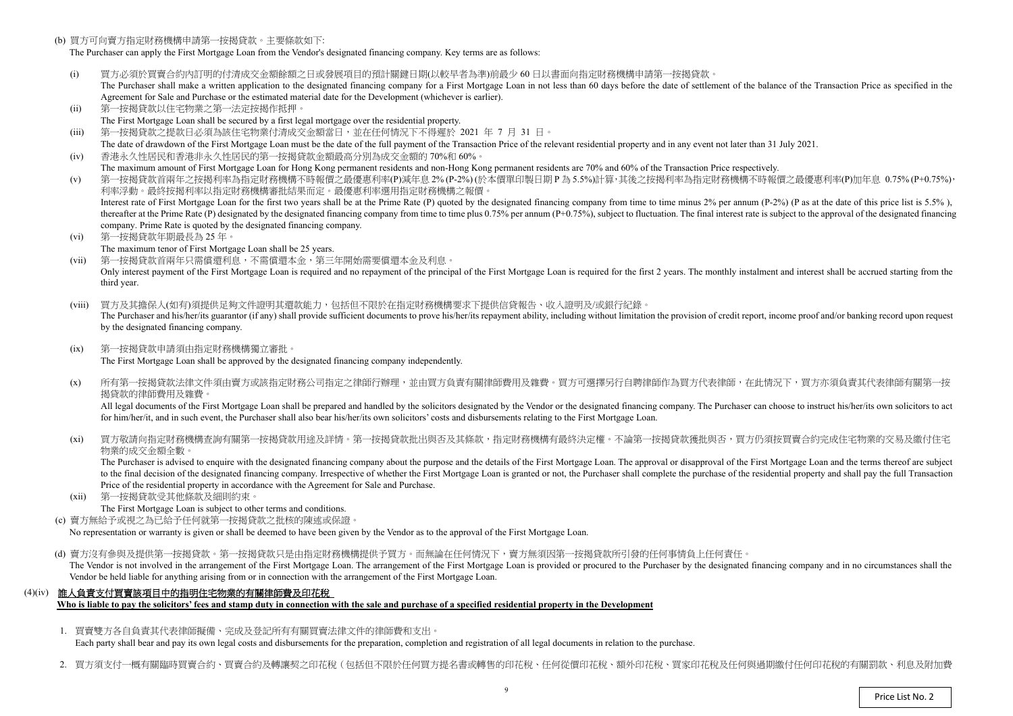(b) 買方可向賣方指定財務機構申請第一按揭貸款。主要條款如下:

The Purchaser can apply the First Mortgage Loan from the Vendor's designated financing company. Key terms are as follows:

- (i)) 買方必須於買賣合約內訂明的付清成交金額餘額之日或發展項目的預計關鍵日期(以較早者為準)前最少 60 日以書面向指定財務機構申請第一按揭貸款。<br>The Purchaser shall make a written application to the designated financing company for a First Mortgage Loan in not less than 60 days before the da The Purchaser shall make a written application to the designated financing company for a First Mortgage Loan in not less than 60 days before the date of settlement of the balance of the Transaction Price as specified in the Agreement for Sale and Purchase or the estimated material date for the Development (whichever is earlier).
- (ii)第一按揭貸款以住宅物業之第一法定按揭作抵押。
- The First Mortgage Loan shall be secured by a first legal mortgage over the residential property.
- $(iii)$ 第一按揭貸款之提款日必須為該住宅物業付清成交金額當日,並在任何情況下不得遲於 <sup>2021</sup> <sup>年</sup><sup>7</sup> <sup>月</sup> <sup>31</sup>日。
- The date of drawdown of the First Mortgage Loan must be the date of the full payment of the Transaction Price of the relevant residential property and in any event not later than 31 July 2021. (iv)香港永久性居民和香港非永久性居民的第一按揭貸款金額最高分別為成交金額的 70%<sup>和</sup> 60%。
- The maximum amount of First Mortgage Loan for Hong Kong permanent residents and non-Hong Kong permanent residents are 70% and 60% of the Transaction Price respectively.<br>第一位担合教会员每个投提现这些生产的规模建立的一具原子的一个 (v)
- ) 第一按揭貸款首兩年之按揭利率為指定財務機構不時報價之最優惠利率(P)減年息 2% (P-2%) (於本價單印製日期 P 為 5.5%)計算,其後之按揭利率為指定財務機構不時報價之最優惠利率(P)加年息 0.75% (P+0.75%),<br>利率浮動。 最终按規利率以指定財務機構案批結果而定。 景優東利率選用指定財務機構之報價。 利率浮動。最終按揭利率以指定財務機構審批結果而定。最優惠利率選用指定財務機構之報價。Interest rate of First Mortgage Loan for the first two years shall be at the Prime Rate (P) quoted by the designated financing company from time to time minus 2% per annum (P-2%) (P as at the date of this price list is 5.5 thereafter at the Prime Rate (P) designated by the designated financing company from time to time plus 0.75% per annum (P+0.75%), subject to fluctuation. The final interest rate is subject to the approval of the designated company. Prime Rate is quoted by the designated financing company.
- (vi) 第一按揭貸款年期最長為 <sup>25</sup> 年。
- The maximum tenor of First Mortgage Loan shall be 25 years.
- (vii) 第一按揭貸款首兩年只需償還利息,不需償還本金,第三年開始需要償還本金及利息。Only interest payment of the First Mortgage Loan is required and no repayment of the principal of the First Mortgage Loan is required for the first 2 years. The monthly instalment and interest shall be accrued starting fro third year.
- (viii) 買方及其擔保人(如有)須提供足夠文件證明其還款能力,包括但不限於在指定財務機構要求下提供信貸報告、收入證明及/或銀行紀錄。The Purchaser and his/her/its guarantor (if any) shall provide sufficient documents to prove his/her/its repayment ability, including without limitation the provision of credit report, income proof and/or banking record up by the designated financing company.
- $(ix)$  第一按揭貸款申請須由指定財務機構獨立審批。The First Mortgage Loan shall be approved by the designated financing company independently.
- $(x)$ 所有第一按揭貸款法律文件須由賣方或該指定財務公司指定之律師行辦理,並由買方負責有關律師費用及雜費。買方可選擇另行自聘律師作為買方代表律師,在此情況下,買方亦須負責其代表律師有關第一按 揭貸款的律師費用及雜費。

All legal documents of the First Mortgage Loan shall be prepared and handled by the solicitors designated by the Vendor or the designated financing company. The Purchaser can choose to instruct his/her/its own solicitors t for him/her/it, and in such event, the Purchaser shall also bear his/her/its own solicitors' costs and disbursements relating to the First Mortgage Loan.

 $(x_i)$ 買方敬請向指定財務機構查詢有關第一按揭貸款用途及詳情。第一按揭貸款批出與否及其條款,指定財務機構有最終決定權。不論第一按揭貸款獲批與否,買方仍須按買賣合約完成住宅物業的交易及繳付住宅 物業的成交金額全數。

 $(xii)$  第一按揭貸款受其他條款及細則約束。The First Mortgage Loan is subject to other terms and conditions.

(d) 賣方沒有參與及提供第一按揭貸款。第一按揭貸款只是由指定財務機構提供予買方。而無論在任何情況下,賣方無須因第一按揭貸款所引發的任何事情負上任何責任。 The Vendor is not involved in the arrangement of the First Mortgage Loan. The arrangement of the First Mortgage Loan is provided or procured to the Purchaser by the designated financing company and in no circumstances shal Vendor be held liable for anything arising from or in connection with the arrangement of the First Mortgage Loan.

 The Purchaser is advised to enquire with the designated financing company about the purpose and the details of the First Mortgage Loan. The approval or disapproval of the First Mortgage Loan and the terms thereof are subject to the final decision of the designated financing company. Irrespective of whether the First Mortgage Loan is granted or not, the Purchaser shall complete the purchase of the residential property and shall pay the full Tra Price of the residential property in accordance with the Agreement for Sale and Purchase.

(c) 賣方無給予或視之為已給予任何就第一按揭貸款之批核的陳述或保證。

No representation or warranty is <sup>g</sup>iven or shall be deemed to have been given by the Vendor as to the approval of the First Mortgage Loan.

## (4)(iv) 誰人負責支付買賣該項目中的指明住宅物業的有關律師費及印花稅

**Who is liable to pay the solicitors' fees and stamp duty in connection with the sale and purchase of a specified residential property in the Development** 

1. 買賣雙方各自負責其代表律師擬備、完成及登記所有有關買賣法律文件的律師費和支出。

Each party shall bear and pay its own legal costs and disbursements for the preparation, completion and registration of all legal documents in relation to the purchase.

2. 買方須支付一概有關臨時買賣合約、買賣合約及轉讓契之印花稅(包括但不限於任何買方提名書或轉售的印花稅、任何從價印花稅、額外印花稅、買家印花稅及任何與過期繳付任何印花稅的有關罰款、利息及附加費